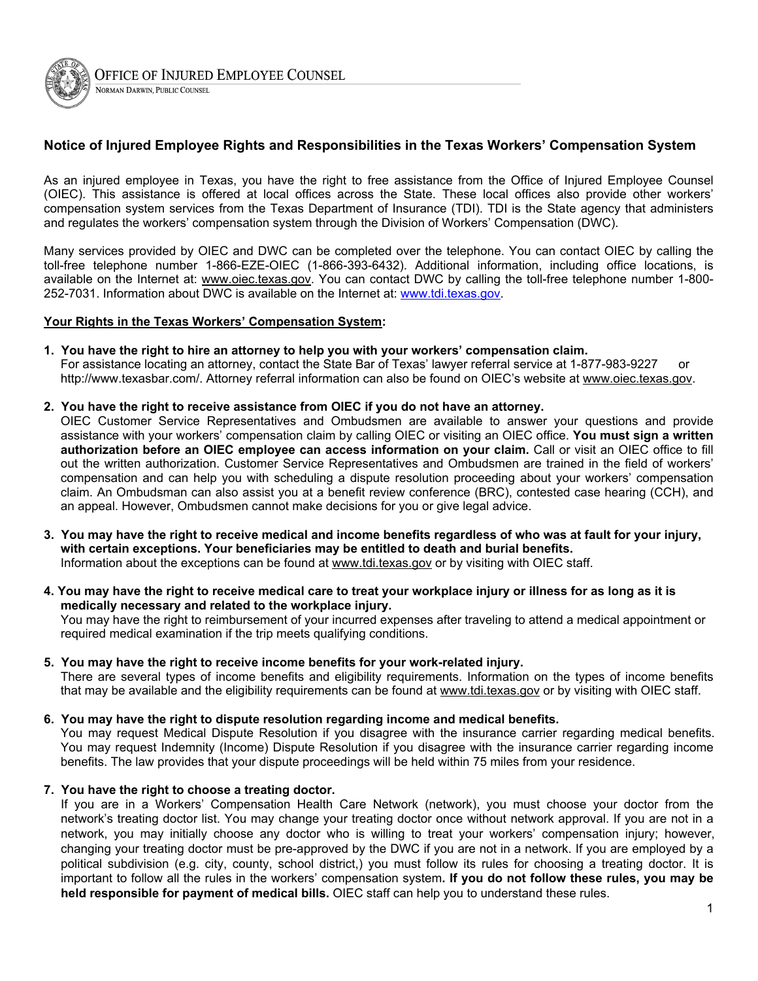

## NORMAN DARWIN, PUBLIC COUNSEL

## **Notice of Injured Employee Rights and Responsibilities in the Texas Workers' Compensation System**

As an injured employee in Texas, you have the right to free assistance from the Office of Injured Employee Counsel (OIEC). This assistance is offered at local offices across the State. These local offices also provide other workers' compensation system services from the Texas Department of Insurance (TDI). TDI is the State agency that administers and regulates the workers' compensation system through the Division of Workers' Compensation (DWC).

Many services provided by OIEC and DWC can be completed over the telephone. You can contact OIEC by calling the toll-free telephone number 1-866-EZE-OIEC (1-866-393-6432). Additional information, including office locations, is available on the Internet at: www.oiec.texas.gov. You can contact DWC by calling the toll-free telephone number 1-800-252-7031. Information about DWC is available on the Internet at: [www.tdi.texas.gov](http://www.tdi.texas.gov).

## **Your Rights in the Texas Workers' Compensation System:**

- **1. You have the right to hire an attorney to help you with your workers' compensation claim.** For assistance locating an attorney, contact the State Bar of Texas' lawyer referral service at 1-877-983-9227 or http://www.texasbar.com/. Attorney referral information can also be found on OIEC's website at www.oiec.texas.gov.
- **2. You have the right to receive assistance from OIEC if you do not have an attorney.**

OIEC Customer Service Representatives and Ombudsmen are available to answer your questions and provide assistance with your workers' compensation claim by calling OIEC or visiting an OIEC office. **You must sign a written authorization before an OIEC employee can access information on your claim.** Call or visit an OIEC office to fill out the written authorization. Customer Service Representatives and Ombudsmen are trained in the field of workers' compensation and can help you with scheduling a dispute resolution proceeding about your workers' compensation claim. An Ombudsman can also assist you at a benefit review conference (BRC), contested case hearing (CCH), and an appeal. However, Ombudsmen cannot make decisions for you or give legal advice.

- **3. You may have the right to receive medical and income benefits regardless of who was at fault for your injury, with certain exceptions. Your beneficiaries may be entitled to death and burial benefits.** Information about the exceptions can be found at www.tdi.texas.gov or by visiting with OIEC staff.
- **4. You may have the right to receive medical care to treat your workplace injury or illness for as long as it is medically necessary and related to the workplace injury.** You may have the right to reimbursement of your incurred expenses after traveling to attend a medical appointment or required medical examination if the trip meets qualifying conditions.
- **5. You may have the right to receive income benefits for your work-related injury.** There are several types of income benefits and eligibility requirements. Information on the types of income benefits that may be available and the eligibility requirements can be found at www.tdi.texas.gov or by visiting with OIEC staff.
- **6. You may have the right to dispute resolution regarding income and medical benefits.**

You may request Medical Dispute Resolution if you disagree with the insurance carrier regarding medical benefits. You may request Indemnity (Income) Dispute Resolution if you disagree with the insurance carrier regarding income benefits. The law provides that your dispute proceedings will be held within 75 miles from your residence.

**7. You have the right to choose a treating doctor.**

If you are in a Workers' Compensation Health Care Network (network), you must choose your doctor from the network's treating doctor list. You may change your treating doctor once without network approval. If you are not in a network, you may initially choose any doctor who is willing to treat your workers' compensation injury; however, changing your treating doctor must be pre-approved by the DWC if you are not in a network. If you are employed by a political subdivision (e.g. city, county, school district,) you must follow its rules for choosing a treating doctor. It is important to follow all the rules in the workers' compensation system**. If you do not follow these rules, you may be held responsible for payment of medical bills.** OIEC staff can help you to understand these rules.